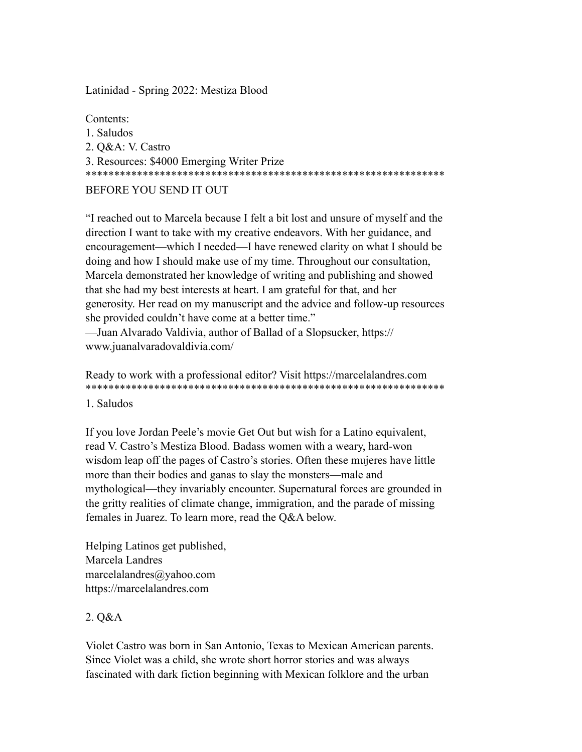Latinidad - Spring 2022: Mestiza Blood

Contents<sup>-</sup> 1 Saludos 2. O&A: V. Castro 3. Resources: \$4000 Emerging Writer Prize BEFORE YOU SEND IT OUT

"I reached out to Marcela because I felt a bit lost and unsure of myself and the direction I want to take with my creative endeavors. With her guidance, and encouragement—which I needed—I have renewed clarity on what I should be doing and how I should make use of my time. Throughout our consultation, Marcela demonstrated her knowledge of writing and publishing and showed that she had my best interests at heart. I am grateful for that, and her generosity. Her read on my manuscript and the advice and follow-up resources she provided couldn't have come at a better time." -Juan Alvarado Valdivia, author of Ballad of a Slopsucker, https://

www.juanalvaradovaldivia.com/

Ready to work with a professional editor? Visit https://marcelalandres.com 

1. Saludos

If you love Jordan Peele's movie Get Out but wish for a Latino equivalent, read V. Castro's Mestiza Blood. Badass women with a weary, hard-won wisdom leap off the pages of Castro's stories. Often these mujeres have little more than their bodies and ganas to slay the monsters—male and mythological—they invariably encounter. Supernatural forces are grounded in the gritty realities of climate change, immigration, and the parade of missing females in Juarez. To learn more, read the Q&A below.

Helping Latinos get published, Marcela Landres marcelalandres@yahoo.com https://marcelalandres.com

# 2. Q&A

Violet Castro was born in San Antonio, Texas to Mexican American parents. Since Violet was a child, she wrote short horror stories and was always fascinated with dark fiction beginning with Mexican folklore and the urban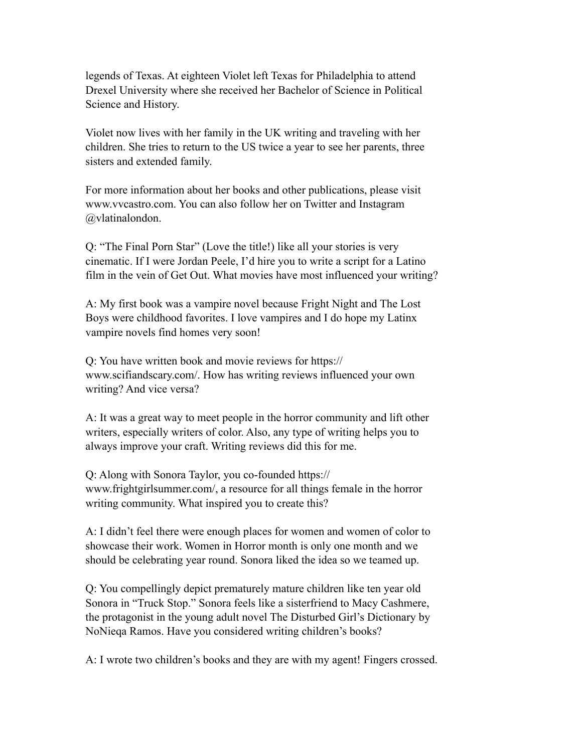legends of Texas. At eighteen Violet left Texas for Philadelphia to attend Drexel University where she received her Bachelor of Science in Political Science and History.

Violet now lives with her family in the UK writing and traveling with her children. She tries to return to the US twice a year to see her parents, three sisters and extended family.

For more information about her books and other publications, please visit [www.vvcastro.com.](http://www.vvcastro.com) You can also follow her on Twitter and Instagram @vlatinalondon.

Q: "The Final Porn Star" (Love the title!) like all your stories is very cinematic. If I were Jordan Peele, I'd hire you to write a script for a Latino film in the vein of Get Out. What movies have most influenced your writing?

A: My first book was a vampire novel because Fright Night and The Lost Boys were childhood favorites. I love vampires and I do hope my Latinx vampire novels find homes very soon!

Q: You have written book and movie reviews for [https://](https://www.scifiandscary.com/) [www.scifiandscary.com/.](https://www.scifiandscary.com/) How has writing reviews influenced your own writing? And vice versa?

A: It was a great way to meet people in the horror community and lift other writers, especially writers of color. Also, any type of writing helps you to always improve your craft. Writing reviews did this for me.

Q: Along with Sonora Taylor, you co-founded [https://](https://www.frightgirlsummer.com/) [www.frightgirlsummer.com/,](https://www.frightgirlsummer.com/) a resource for all things female in the horror writing community. What inspired you to create this?

A: I didn't feel there were enough places for women and women of color to showcase their work. Women in Horror month is only one month and we should be celebrating year round. Sonora liked the idea so we teamed up.

Q: You compellingly depict prematurely mature children like ten year old Sonora in "Truck Stop." Sonora feels like a sisterfriend to Macy Cashmere, the protagonist in the young adult novel The Disturbed Girl's Dictionary by NoNieqa Ramos. Have you considered writing children's books?

A: I wrote two children's books and they are with my agent! Fingers crossed.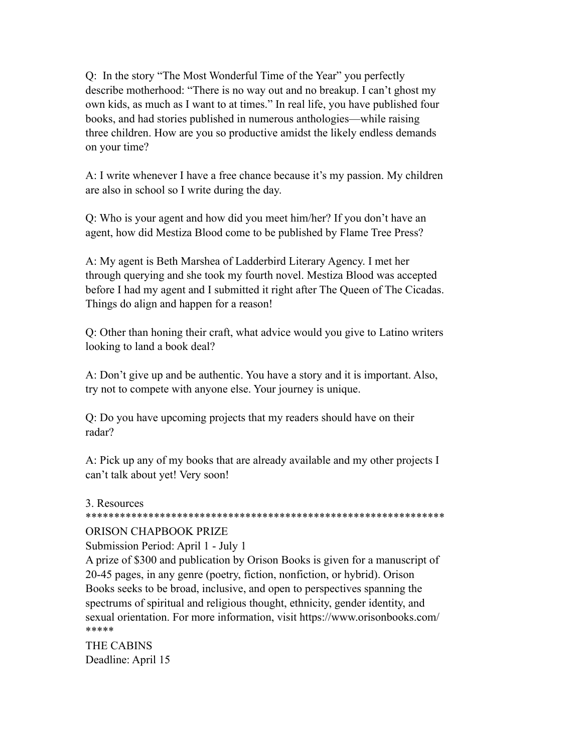Q: In the story "The Most Wonderful Time of the Year" you perfectly describe motherhood: "There is no way out and no breakup. I can't ghost my own kids, as much as I want to at times." In real life, you have published four books, and had stories published in numerous anthologies—while raising three children. How are you so productive amidst the likely endless demands on your time?

A: I write whenever I have a free chance because it's my passion. My children are also in school so I write during the day.

Q: Who is your agent and how did you meet him/her? If you don't have an agent, how did Mestiza Blood come to be published by Flame Tree Press?

A: My agent is Beth Marshea of Ladderbird Literary Agency. I met her through querying and she took my fourth novel. Mestiza Blood was accepted before I had my agent and I submitted it right after The Queen of The Cicadas. Things do align and happen for a reason!

Q: Other than honing their craft, what advice would you give to Latino writers looking to land a book deal?

A: Don't give up and be authentic. You have a story and it is important. Also, try not to compete with anyone else. Your journey is unique.

Q: Do you have upcoming projects that my readers should have on their radar?

A: Pick up any of my books that are already available and my other projects I can't talk about yet! Very soon!

#### 3. Resources

#### \*\*\*\*\*\*\*\*\*\*\*\*\*\*\*\*\*\*\*\*\*\*\*\*\*\*\*\*\*\*\*\*\*\*\*\*\*\*\*\*\*\*\*\*\*\*\*\*\*\*\*\*\*\*\*\*\*\*\*\*\*\*\*

# ORISON CHAPBOOK PRIZE

Submission Period: April 1 - July 1

A prize of \$300 and publication by Orison Books is given for a manuscript of 20-45 pages, in any genre (poetry, fiction, nonfiction, or hybrid). Orison Books seeks to be broad, inclusive, and open to perspectives spanning the spectrums of spiritual and religious thought, ethnicity, gender identity, and sexual orientation. For more information, visit<https://www.orisonbooks.com/> \*\*\*\*\*

THE CABINS Deadline: April 15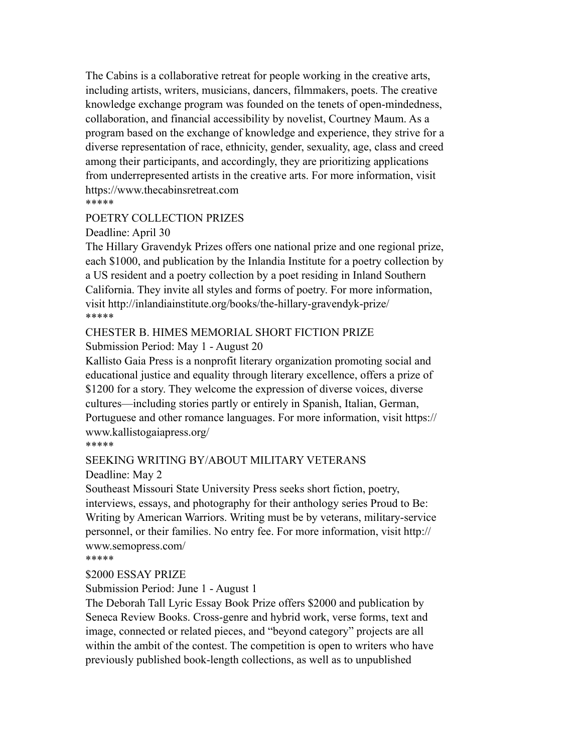The Cabins is a collaborative retreat for people working in the creative arts, including artists, writers, musicians, dancers, filmmakers, poets. The creative knowledge exchange program was founded on the tenets of open-mindedness, collaboration, and financial accessibility by novelist, Courtney Maum. As a program based on the exchange of knowledge and experience, they strive for a diverse representation of race, ethnicity, gender, sexuality, age, class and creed among their participants, and accordingly, they are prioritizing applications from underrepresented artists in the creative arts. For more information, visit <https://www.thecabinsretreat.com> \*\*\*\*\*

# POETRY COLLECTION PRIZES

Deadline: April 30

The Hillary Gravendyk Prizes offers one national prize and one regional prize, each \$1000, and publication by the Inlandia Institute for a poetry collection by a US resident and a poetry collection by a poet residing in Inland Southern California. They invite all styles and forms of poetry. For more information, visit <http://inlandiainstitute.org/books/the-hillary-gravendyk-prize/> \*\*\*\*\*

# CHESTER B. HIMES MEMORIAL SHORT FICTION PRIZE

Submission Period: May 1 - August 20

Kallisto Gaia Press is a nonprofit literary organization promoting social and educational justice and equality through literary excellence, offers a prize of \$1200 for a story. They welcome the expression of diverse voices, diverse cultures—including stories partly or entirely in Spanish, Italian, German, Portuguese and other romance languages. For more information, visit [https://](https://www.kallistogaiapress.org/) [www.kallistogaiapress.org/](https://www.kallistogaiapress.org/)

\*\*\*\*\*

# SEEKING WRITING BY/ABOUT MILITARY VETERANS

Deadline: May 2

Southeast Missouri State University Press seeks short fiction, poetry, interviews, essays, and photography for their anthology series Proud to Be: Writing by American Warriors. Writing must be by veterans, military-service personnel, or their families. No entry fee. For more information, visit [http://](http://www.semopress.com/) [www.semopress.com/](http://www.semopress.com/)

\*\*\*\*\*

\$2000 ESSAY PRIZE

Submission Period: June 1 - August 1

The Deborah Tall Lyric Essay Book Prize offers \$2000 and publication by Seneca Review Books. Cross-genre and hybrid work, verse forms, text and image, connected or related pieces, and "beyond category" projects are all within the ambit of the contest. The competition is open to writers who have previously published book-length collections, as well as to unpublished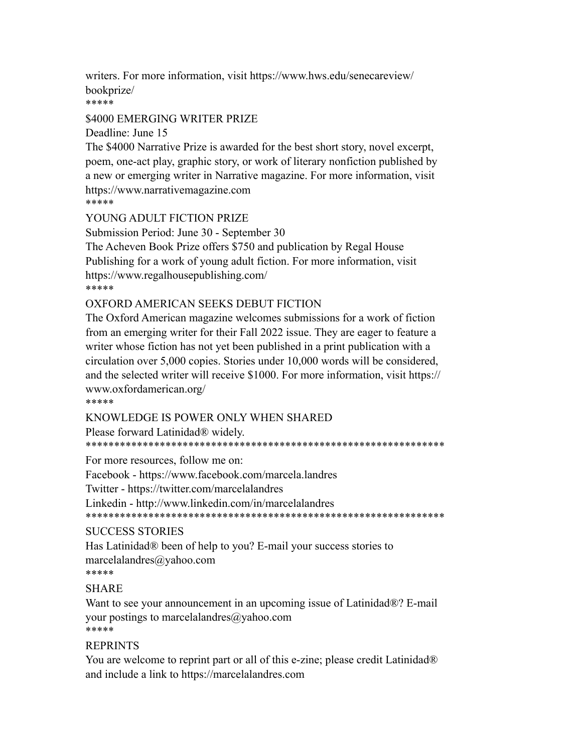writers. For more information, visit https://www.hws.edu/senecareview/ bookprize/

\*\*\*\*\*

#### \$4000 EMERGING WRITER PRIZE

Deadline: June 15

The \$4000 Narrative Prize is awarded for the best short story, novel excerpt, poem, one-act play, graphic story, or work of literary nonfiction published by a new or emerging writer in Narrative magazine. For more information, visit https://www.narrativemagazine.com \*\*\*\*\*

YOUNG ADULT FICTION PRIZE

Submission Period: June 30 - September 30

The Acheven Book Prize offers \$750 and publication by Regal House Publishing for a work of young adult fiction. For more information, visit https://www.regalhousepublishing.com/ \*\*\*\*\*

#### OXFORD AMERICAN SEEKS DEBUT FICTION

The Oxford American magazine welcomes submissions for a work of fiction from an emerging writer for their Fall 2022 issue. They are eager to feature a writer whose fiction has not yet been published in a print publication with a circulation over 5,000 copies. Stories under 10,000 words will be considered, and the selected writer will receive \$1000. For more information, visit https:// www.oxfordamerican.org/

\*\*\*\*\*

#### KNOWLEDGE IS POWER ONLY WHEN SHARED

Please forward Latinidad<sup>®</sup> widely.

For more resources, follow me on:

Facebook - https://www.facebook.com/marcela.landres

Twitter - https://twitter.com/marcelalandres

Linkedin - http://www.linkedin.com/in/marcelalandres

# **SUCCESS STORIES**

Has Latinidad® been of help to you? E-mail your success stories to marcelalandres $@$ yahoo.com \*\*\*\*\*

# **SHARE**

Want to see your announcement in an upcoming issue of Latinidad®? E-mail your postings to marcelalandres  $\omega$  yahoo.com \*\*\*\*\*

# **REPRINTS**

You are welcome to reprint part or all of this e-zine; please credit Latinidad® and include a link to https://marcelalandres.com